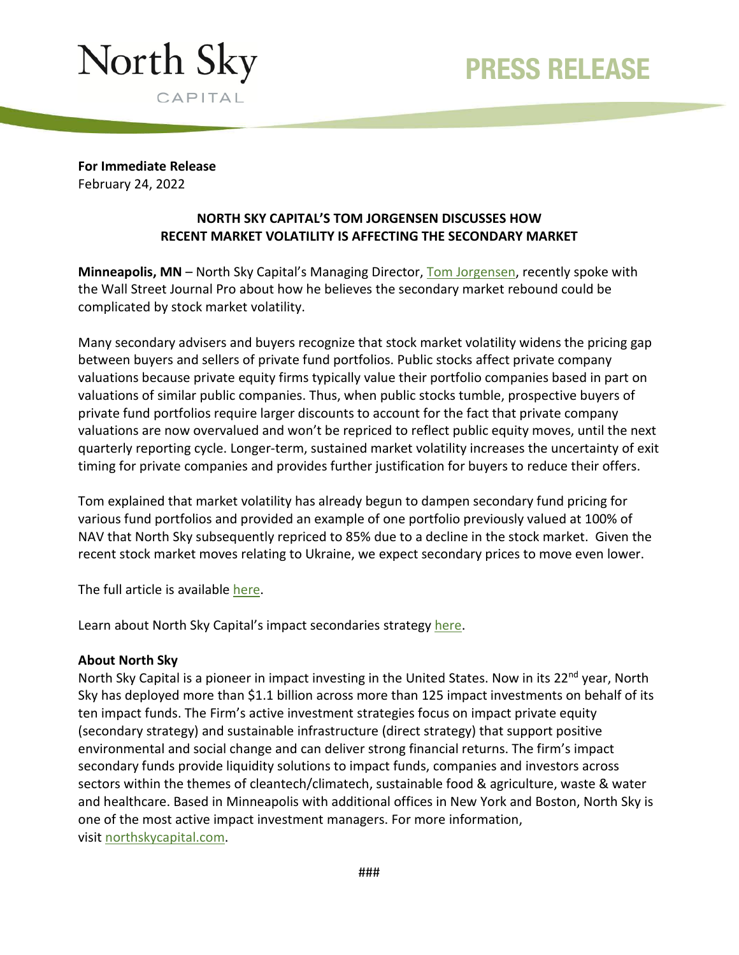## PRESS RELEASE



**For Immediate Release** February 24, 2022

## **NORTH SKY CAPITAL'S TOM JORGENSEN DISCUSSES HOW RECENT MARKET VOLATILITY IS AFFECTING THE SECONDARY MARKET**

**Minneapolis, MN** – North Sky Capital's Managing Director, [Tom Jorgensen,](https://northskycapital.com/team/tom-jorgensen/) recently spoke with the Wall Street Journal Pro about how he believes the secondary market rebound could be complicated by stock market volatility.

Many secondary advisers and buyers recognize that stock market volatility widens the pricing gap between buyers and sellers of private fund portfolios. Public stocks affect private company valuations because private equity firms typically value their portfolio companies based in part on valuations of similar public companies. Thus, when public stocks tumble, prospective buyers of private fund portfolios require larger discounts to account for the fact that private company valuations are now overvalued and won't be repriced to reflect public equity moves, until the next quarterly reporting cycle. Longer-term, sustained market volatility increases the uncertainty of exit timing for private companies and provides further justification for buyers to reduce their offers.

Tom explained that market volatility has already begun to dampen secondary fund pricing for various fund portfolios and provided an example of one portfolio previously valued at 100% of NAV that North Sky subsequently repriced to 85% due to a decline in the stock market. Given the recent stock market moves relating to Ukraine, we expect secondary prices to move even lower.

The full article is available [here.](https://www.wsj.com/articles/singhs-take-stock-market-volatility-complicates-secondary-market-rebound-11645099201)

Learn about North Sky Capital's impact secondaries strategy [here.](https://northskycapital.com/impact-secondaries/)

## **About North Sky**

North Sky Capital is a pioneer in impact investing in the United States. Now in its 22<sup>nd</sup> year, North Sky has deployed more than \$1.1 billion across more than 125 impact investments on behalf of its ten impact funds. The Firm's active investment strategies focus on impact private equity (secondary strategy) and sustainable infrastructure (direct strategy) that support positive environmental and social change and can deliver strong financial returns. The firm's impact secondary funds provide liquidity solutions to impact funds, companies and investors across sectors within the themes of cleantech/climatech, sustainable food & agriculture, waste & water and healthcare. Based in Minneapolis with additional offices in New York and Boston, North Sky is one of the most active impact investment managers. For more information, visit [northskycapital.com.](https://cts.businesswire.com/ct/CT?id=smartlink&url=https%3A%2F%2Fnorthskycapital.com%2F&esheet=52330599&newsitemid=20201118005282&lan=en-US&anchor=northskycapital.com&index=1&md5=fe99b70e9251f4772a6ee4a94441248f)